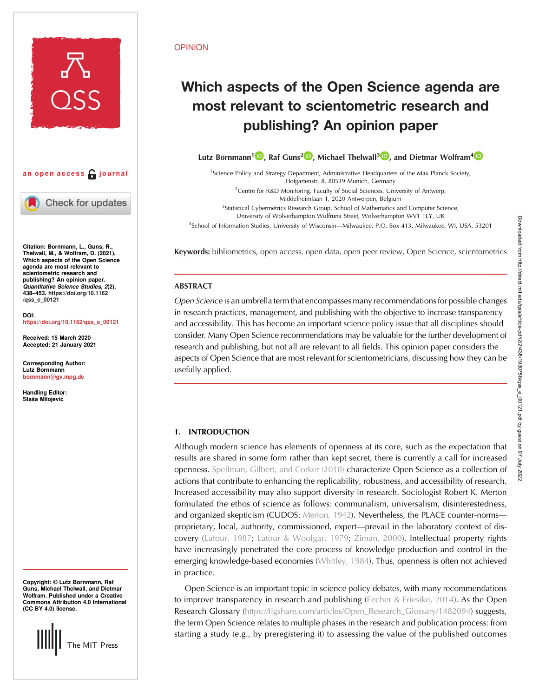



Check for updates

Citation: Bornmann, L., Guns, R., Thelwall, M., & Wolfram, D. (2021). Which aspects of the Open Science agenda are most relevant to scientometric research and publishing? An opinion paper. Quantitative Science Studies, 2(2), 438–453. [https://doi.org/10.1162](https://doi.org/10.1162/qss_e_00121) [/qss\\_e\\_00121](https://doi.org/10.1162/qss_e_00121)

DOI: [https://doi.org/10.1162/qss\\_e\\_00121](https://doi.org/10.1162/qss_e_00121)

Received: 15 March 2020 Accepted: 21 January 2021

Corresponding Author: Lutz Bornmann [bornmann@gv.mpg.de](mailto:bornmann@gv.mpg.de)

Handling Editor: Staša Milojević

Copyright: © Lutz Bornmann, Raf Guns, Michael Thelwall, and Dietmar Wolfram. Published under a Creative Commons Attribution 4.0 International (CC BY 4.0) license.



#### OPINION

# Which aspects of the Open Science agenda are most relevant to scientometric research and publishing? An opinion paper

Lutz Bornmann<sup>[1](https://orcid.org/0000-0003-0810-7091)</sup><sup>1</sup>, Raf Guns<sup>2</sup><sup>1</sup>, Michael Thelwall<sup>3</sup><sup>1</sup>, and Dietmar Wolfram<sup>[4](https://orcid.org/0000-0002-4991-276X)</sup><sup>1</sup>

<sup>1</sup>Science Policy and Strategy Department, Administrative Headquarters of the Max Planck Society, Hofgartenstr. 8, 80539 Munich, Germany <sup>2</sup> Centre for R&D Monitoring, Faculty of Social Sciences, University of Antwerp, Middelheimlaan 1, 2020 Antwerpen, Belgium

<sup>3</sup>Statistical Cybermetrics Research Group, School of Mathematics and Computer Science,

University of Wolverhampton Wulfruna Street, Wolverhampton WV1 1LY, UK

4 School of Information Studies, University of Wisconsin—Milwaukee, P.O. Box 413, Milwaukee, WI, USA, 53201

Keywords: bibliometrics, open access, open data, open peer review, Open Science, scientometrics

# ABSTRACT

Open Science is an umbrella term that encompasses many recommendations for possible changes in research practices, management, and publishing with the objective to increase transparency and accessibility. This has become an important science policy issue that all disciplines should consider. Many Open Science recommendations may be valuable for the further development of research and publishing, but not all are relevant to all fields. This opinion paper considers the aspects of Open Science that are most relevant for scientometricians, discussing how they can be usefully applied.

# 1. INTRODUCTION

Although modern science has elements of openness at its core, such as the expectation that results are shared in some form rather than kept secret, there is currently a call for increased openness. [Spellman, Gilbert, and Corker \(2018\)](#page-15-0) characterize Open Science as a collection of actions that contribute to enhancing the replicability, robustness, and accessibility of research. Increased accessibility may also support diversity in research. Sociologist Robert K. Merton formulated the ethos of science as follows: communalism, universalism, disinterestedness, and organized skepticism (CUDOS: [Merton, 1942](#page-14-0)). Nevertheless, the PLACE counter-norms proprietary, local, authority, commissioned, expert—prevail in the laboratory context of discovery [\(Latour, 1987;](#page-14-0) [Latour & Woolgar, 1979](#page-14-0); [Ziman, 2000\)](#page-15-0). Intellectual property rights have increasingly penetrated the core process of knowledge production and control in the emerging knowledge-based economies [\(Whitley, 1984](#page-15-0)). Thus, openness is often not achieved in practice.

Open Science is an important topic in science policy debates, with many recommendations to improve transparency in research and publishing ([Fecher & Friesike, 2014\)](#page-14-0). As the Open Research Glossary [\(https://figshare.com/articles/Open\\_Research\\_Glossary/1482094\)](https://figshare.com/articles/Open_Research_Glossary/1482094) suggests, the term Open Science relates to multiple phases in the research and publication process: from starting a study (e.g., by preregistering it) to assessing the value of the published outcomes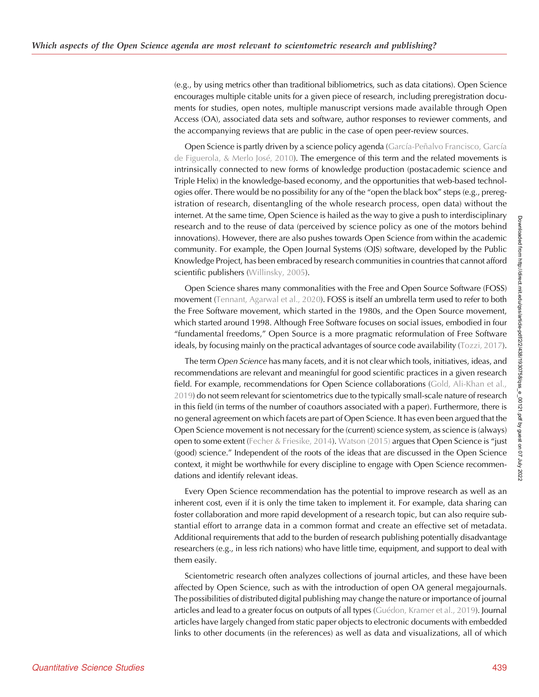(e.g., by using metrics other than traditional bibliometrics, such as data citations). Open Science encourages multiple citable units for a given piece of research, including preregistration documents for studies, open notes, multiple manuscript versions made available through Open Access (OA), associated data sets and software, author responses to reviewer comments, and the accompanying reviews that are public in the case of open peer-review sources.

Open Science is partly driven by a science policy agenda [\(García-Peñalvo Francisco, García](#page-14-0) [de Figuerola, & Merlo José, 2010](#page-14-0)). The emergence of this term and the related movements is intrinsically connected to new forms of knowledge production (postacademic science and Triple Helix) in the knowledge-based economy, and the opportunities that web-based technologies offer. There would be no possibility for any of the "open the black box" steps (e.g., preregistration of research, disentangling of the whole research process, open data) without the internet. At the same time, Open Science is hailed as the way to give a push to interdisciplinary research and to the reuse of data (perceived by science policy as one of the motors behind innovations). However, there are also pushes towards Open Science from within the academic community. For example, the Open Journal Systems (OJS) software, developed by the Public Knowledge Project, has been embraced by research communities in countries that cannot afford scientific publishers ([Willinsky, 2005\)](#page-15-0).

Open Science shares many commonalities with the Free and Open Source Software (FOSS) movement ([Tennant, Agarwal et al., 2020](#page-15-0)). FOSS is itself an umbrella term used to refer to both the Free Software movement, which started in the 1980s, and the Open Source movement, which started around 1998. Although Free Software focuses on social issues, embodied in four "fundamental freedoms," Open Source is a more pragmatic reformulation of Free Software ideals, by focusing mainly on the practical advantages of source code availability ([Tozzi, 2017\)](#page-15-0).

The term Open Science has many facets, and it is not clear which tools, initiatives, ideas, and recommendations are relevant and meaningful for good scientific practices in a given research field. For example, recommendations for Open Science collaborations [\(Gold, Ali-Khan et al.,](#page-14-0) [2019\)](#page-14-0) do not seem relevant for scientometrics due to the typically small-scale nature of research in this field (in terms of the number of coauthors associated with a paper). Furthermore, there is no general agreement on which facets are part of Open Science. It has even been argued that the Open Science movement is not necessary for the (current) science system, as science is (always) open to some extent ([Fecher & Friesike, 2014](#page-14-0)). [Watson \(2015\)](#page-15-0) argues that Open Science is "just (good) science." Independent of the roots of the ideas that are discussed in the Open Science context, it might be worthwhile for every discipline to engage with Open Science recommendations and identify relevant ideas.

Every Open Science recommendation has the potential to improve research as well as an inherent cost, even if it is only the time taken to implement it. For example, data sharing can foster collaboration and more rapid development of a research topic, but can also require substantial effort to arrange data in a common format and create an effective set of metadata. Additional requirements that add to the burden of research publishing potentially disadvantage researchers (e.g., in less rich nations) who have little time, equipment, and support to deal with them easily.

Scientometric research often analyzes collections of journal articles, and these have been affected by Open Science, such as with the introduction of open OA general megajournals. The possibilities of distributed digital publishing may change the nature or importance of journal articles and lead to a greater focus on outputs of all types ([Guédon, Kramer et al., 2019](#page-14-0)). Journal articles have largely changed from static paper objects to electronic documents with embedded links to other documents (in the references) as well as data and visualizations, all of which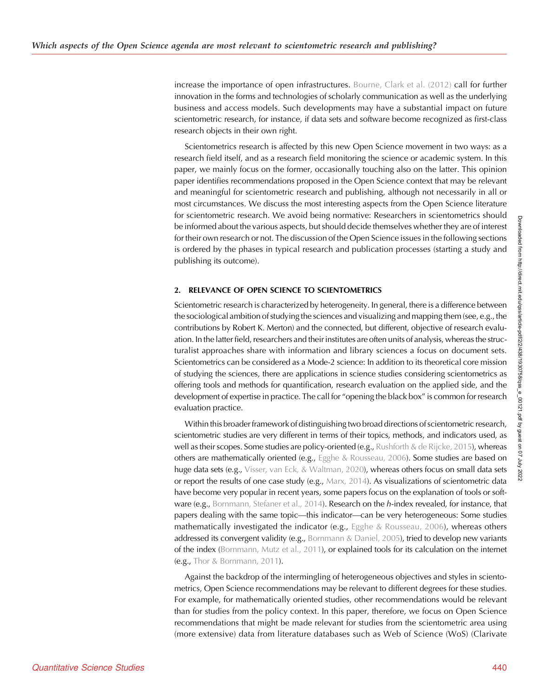increase the importance of open infrastructures. [Bourne, Clark et al. \(2012\)](#page-13-0) call for further innovation in the forms and technologies of scholarly communication as well as the underlying business and access models. Such developments may have a substantial impact on future scientometric research, for instance, if data sets and software become recognized as first-class research objects in their own right.

Scientometrics research is affected by this new Open Science movement in two ways: as a research field itself, and as a research field monitoring the science or academic system. In this paper, we mainly focus on the former, occasionally touching also on the latter. This opinion paper identifies recommendations proposed in the Open Science context that may be relevant and meaningful for scientometric research and publishing, although not necessarily in all or most circumstances. We discuss the most interesting aspects from the Open Science literature for scientometric research. We avoid being normative: Researchers in scientometrics should be informed about the various aspects, but should decide themselves whether they are of interest for their own research or not. The discussion of the Open Science issues in the following sections is ordered by the phases in typical research and publication processes (starting a study and publishing its outcome).

# 2. RELEVANCE OF OPEN SCIENCE TO SCIENTOMETRICS

Scientometric research is characterized by heterogeneity. In general, there is a difference between the sociological ambition of studying the sciences and visualizing and mapping them (see, e.g., the contributions by Robert K. Merton) and the connected, but different, objective of research evaluation. In the latter field, researchers and their institutes are often units of analysis, whereas the structuralist approaches share with information and library sciences a focus on document sets. Scientometrics can be considered as a Mode-2 science: In addition to its theoretical core mission of studying the sciences, there are applications in science studies considering scientometrics as offering tools and methods for quantification, research evaluation on the applied side, and the development of expertise in practice. The call for "opening the black box" is common for research evaluation practice.

Within this broader framework of distinguishing two broad directions of scientometric research, scientometric studies are very different in terms of their topics, methods, and indicators used, as well as their scopes. Some studies are policy-oriented (e.g., [Rushforth & de Rijcke, 2015](#page-15-0)), whereas others are mathematically oriented (e.g., [Egghe & Rousseau, 2006](#page-14-0)). Some studies are based on huge data sets (e.g., [Visser, van Eck, & Waltman, 2020](#page-15-0)), whereas others focus on small data sets or report the results of one case study (e.g.,  $Max, 2014$ ). As visualizations of scientometric data have become very popular in recent years, some papers focus on the explanation of tools or soft-ware (e.g., [Bornmann, Stefaner et al., 2014](#page-13-0)). Research on the h-index revealed, for instance, that papers dealing with the same topic—this indicator—can be very heterogeneous: Some studies mathematically investigated the indicator (e.g., [Egghe & Rousseau, 2006](#page-14-0)), whereas others addressed its convergent validity (e.g., [Bornmann & Daniel, 2005\)](#page-13-0), tried to develop new variants of the index [\(Bornmann, Mutz et al., 2011](#page-13-0)), or explained tools for its calculation on the internet (e.g., [Thor & Bornmann, 2011\)](#page-15-0).

Against the backdrop of the intermingling of heterogeneous objectives and styles in scientometrics, Open Science recommendations may be relevant to different degrees for these studies. For example, for mathematically oriented studies, other recommendations would be relevant than for studies from the policy context. In this paper, therefore, we focus on Open Science recommendations that might be made relevant for studies from the scientometric area using (more extensive) data from literature databases such as Web of Science (WoS) (Clarivate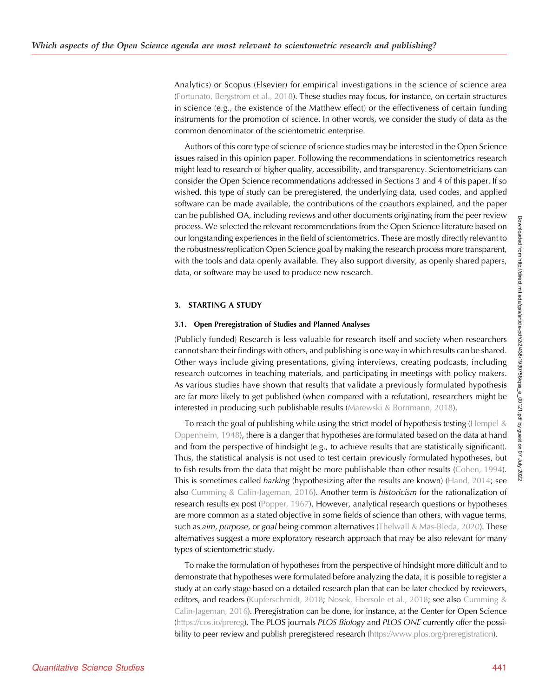Analytics) or Scopus (Elsevier) for empirical investigations in the science of science area ([Fortunato, Bergstrom et al., 2018\)](#page-14-0). These studies may focus, for instance, on certain structures in science (e.g., the existence of the Matthew effect) or the effectiveness of certain funding instruments for the promotion of science. In other words, we consider the study of data as the common denominator of the scientometric enterprise.

Authors of this core type of science of science studies may be interested in the Open Science issues raised in this opinion paper. Following the recommendations in scientometrics research might lead to research of higher quality, accessibility, and transparency. Scientometricians can consider the Open Science recommendations addressed in Sections 3 and 4 of this paper. If so wished, this type of study can be preregistered, the underlying data, used codes, and applied software can be made available, the contributions of the coauthors explained, and the paper can be published OA, including reviews and other documents originating from the peer review process. We selected the relevant recommendations from the Open Science literature based on our longstanding experiences in the field of scientometrics. These are mostly directly relevant to the robustness/replication Open Science goal by making the research process more transparent, with the tools and data openly available. They also support diversity, as openly shared papers, data, or software may be used to produce new research.

# 3. STARTING A STUDY

## 3.1. Open Preregistration of Studies and Planned Analyses

(Publicly funded) Research is less valuable for research itself and society when researchers cannot share their findings with others, and publishing is one way in which results can be shared. Other ways include giving presentations, giving interviews, creating podcasts, including research outcomes in teaching materials, and participating in meetings with policy makers. As various studies have shown that results that validate a previously formulated hypothesis are far more likely to get published (when compared with a refutation), researchers might be interested in producing such publishable results [\(Marewski & Bornmann, 2018\)](#page-14-0).

To reach the goal of publishing while using the strict model of hypothesis testing (Hempel  $\&$ [Oppenheim, 1948](#page-14-0)), there is a danger that hypotheses are formulated based on the data at hand and from the perspective of hindsight (e.g., to achieve results that are statistically significant). Thus, the statistical analysis is not used to test certain previously formulated hypotheses, but to fish results from the data that might be more publishable than other results ([Cohen, 1994\)](#page-13-0). This is sometimes called *harking* (hypothesizing after the results are known) ([Hand, 2014;](#page-14-0) see also [Cumming & Calin-Jageman, 2016](#page-14-0)). Another term is historicism for the rationalization of research results ex post [\(Popper, 1967](#page-14-0)). However, analytical research questions or hypotheses are more common as a stated objective in some fields of science than others, with vague terms, such as aim, purpose, or goal being common alternatives [\(Thelwall & Mas-Bleda, 2020](#page-15-0)). These alternatives suggest a more exploratory research approach that may be also relevant for many types of scientometric study.

To make the formulation of hypotheses from the perspective of hindsight more difficult and to demonstrate that hypotheses were formulated before analyzing the data, it is possible to register a study at an early stage based on a detailed research plan that can be later checked by reviewers, editors, and readers ([Kupferschmidt, 2018](#page-14-0); [Nosek, Ebersole et al., 2018](#page-14-0); see also [Cumming &](#page-14-0) [Calin-Jageman, 2016](#page-14-0)). Preregistration can be done, for instance, at the Center for Open Science [\(https://cos.io/prereg\)](https://cos.io/prereg). The PLOS journals PLOS Biology and PLOS ONE currently offer the possi-bility to peer review and publish preregistered research [\(https://www.plos.org/preregistration\)](https://www.plos.org/preregistration).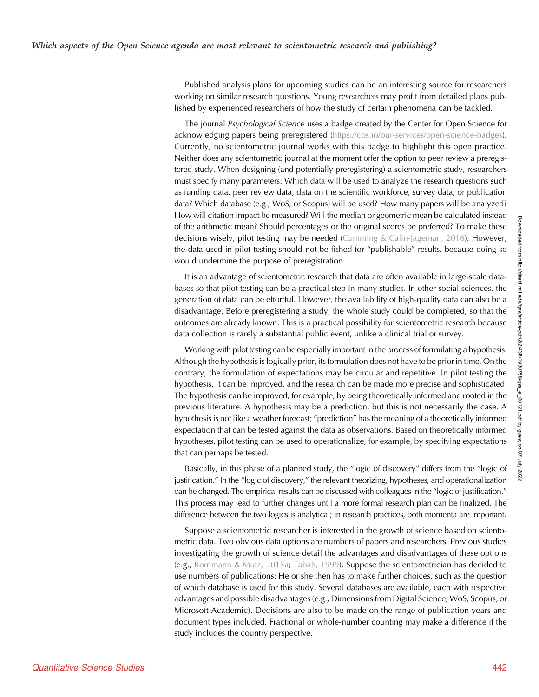Published analysis plans for upcoming studies can be an interesting source for researchers working on similar research questions. Young researchers may profit from detailed plans published by experienced researchers of how the study of certain phenomena can be tackled.

The journal Psychological Science uses a badge created by the Center for Open Science for acknowledging papers being preregistered ([https://cos.io/our-services/open-science-badges\)](https://cos.io/our-services/open-science-badges). Currently, no scientometric journal works with this badge to highlight this open practice. Neither does any scientometric journal at the moment offer the option to peer review a preregistered study. When designing (and potentially preregistering) a scientometric study, researchers must specify many parameters: Which data will be used to analyze the research questions such as funding data, peer review data, data on the scientific workforce, survey data, or publication data? Which database (e.g., WoS, or Scopus) will be used? How many papers will be analyzed? How will citation impact be measured? Will the median or geometric mean be calculated instead of the arithmetic mean? Should percentages or the original scores be preferred? To make these decisions wisely, pilot testing may be needed [\(Cumming & Calin-Jageman, 2016\)](#page-14-0). However, the data used in pilot testing should not be fished for "publishable" results, because doing so would undermine the purpose of preregistration.

It is an advantage of scientometric research that data are often available in large-scale databases so that pilot testing can be a practical step in many studies. In other social sciences, the generation of data can be effortful. However, the availability of high-quality data can also be a disadvantage. Before preregistering a study, the whole study could be completed, so that the outcomes are already known. This is a practical possibility for scientometric research because data collection is rarely a substantial public event, unlike a clinical trial or survey.

Working with pilot testing can be especially important in the process of formulating a hypothesis. Although the hypothesis is logically prior, its formulation does not have to be prior in time. On the contrary, the formulation of expectations may be circular and repetitive. In pilot testing the hypothesis, it can be improved, and the research can be made more precise and sophisticated. The hypothesis can be improved, for example, by being theoretically informed and rooted in the previous literature. A hypothesis may be a prediction, but this is not necessarily the case. A hypothesis is not like a weather forecast; "prediction" has the meaning of a theoretically informed expectation that can be tested against the data as observations. Based on theoretically informed hypotheses, pilot testing can be used to operationalize, for example, by specifying expectations that can perhaps be tested.

Basically, in this phase of a planned study, the "logic of discovery" differs from the "logic of justification." In the "logic of discovery," the relevant theorizing, hypotheses, and operationalization can be changed. The empirical results can be discussed with colleagues in the "logic of justification." This process may lead to further changes until a more formal research plan can be finalized. The difference between the two logics is analytical; in research practices, both momenta are important.

Suppose a scientometric researcher is interested in the growth of science based on scientometric data. Two obvious data options are numbers of papers and researchers. Previous studies investigating the growth of science detail the advantages and disadvantages of these options (e.g., [Bornmann & Mutz, 2015a](#page-13-0); [Tabah, 1999](#page-15-0)). Suppose the scientometrician has decided to use numbers of publications: He or she then has to make further choices, such as the question of which database is used for this study. Several databases are available, each with respective advantages and possible disadvantages (e.g., Dimensions from Digital Science, WoS, Scopus, or Microsoft Academic). Decisions are also to be made on the range of publication years and document types included. Fractional or whole-number counting may make a difference if the study includes the country perspective.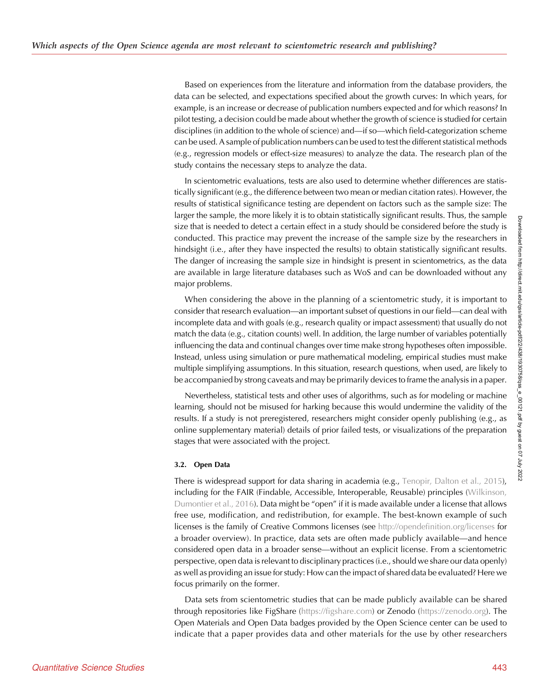Based on experiences from the literature and information from the database providers, the data can be selected, and expectations specified about the growth curves: In which years, for example, is an increase or decrease of publication numbers expected and for which reasons? In pilot testing, a decision could be made about whether the growth of science is studied for certain disciplines (in addition to the whole of science) and—if so—which field-categorization scheme can be used. A sample of publication numbers can be used to test the different statistical methods (e.g., regression models or effect-size measures) to analyze the data. The research plan of the study contains the necessary steps to analyze the data.

In scientometric evaluations, tests are also used to determine whether differences are statistically significant (e.g., the difference between two mean or median citation rates). However, the results of statistical significance testing are dependent on factors such as the sample size: The larger the sample, the more likely it is to obtain statistically significant results. Thus, the sample size that is needed to detect a certain effect in a study should be considered before the study is conducted. This practice may prevent the increase of the sample size by the researchers in hindsight (i.e., after they have inspected the results) to obtain statistically significant results. The danger of increasing the sample size in hindsight is present in scientometrics, as the data are available in large literature databases such as WoS and can be downloaded without any major problems.

When considering the above in the planning of a scientometric study, it is important to consider that research evaluation—an important subset of questions in our field—can deal with incomplete data and with goals (e.g., research quality or impact assessment) that usually do not match the data (e.g., citation counts) well. In addition, the large number of variables potentially influencing the data and continual changes over time make strong hypotheses often impossible. Instead, unless using simulation or pure mathematical modeling, empirical studies must make multiple simplifying assumptions. In this situation, research questions, when used, are likely to be accompanied by strong caveats and may be primarily devices to frame the analysis in a paper.

Nevertheless, statistical tests and other uses of algorithms, such as for modeling or machine learning, should not be misused for harking because this would undermine the validity of the results. If a study is not preregistered, researchers might consider openly publishing (e.g., as online supplementary material) details of prior failed tests, or visualizations of the preparation stages that were associated with the project.

# 3.2. Open Data

There is widespread support for data sharing in academia (e.g., [Tenopir, Dalton et al., 2015\)](#page-15-0), including for the FAIR (Findable, Accessible, Interoperable, Reusable) principles ([Wilkinson,](#page-15-0) [Dumontier et al., 2016](#page-15-0)). Data might be "open" if it is made available under a license that allows free use, modification, and redistribution, for example. The best-known example of such licenses is the family of Creative Commons licenses (see <http://opendefinition.org/licenses> for a broader overview). In practice, data sets are often made publicly available—and hence considered open data in a broader sense—without an explicit license. From a scientometric perspective, open data is relevant to disciplinary practices (i.e., should we share our data openly) as well as providing an issue for study: How can the impact of shared data be evaluated? Here we focus primarily on the former.

Data sets from scientometric studies that can be made publicly available can be shared through repositories like FigShare [\(https://figshare.com\)](https://figshare.com) or Zenodo (<https://zenodo.org>). The Open Materials and Open Data badges provided by the Open Science center can be used to indicate that a paper provides data and other materials for the use by other researchers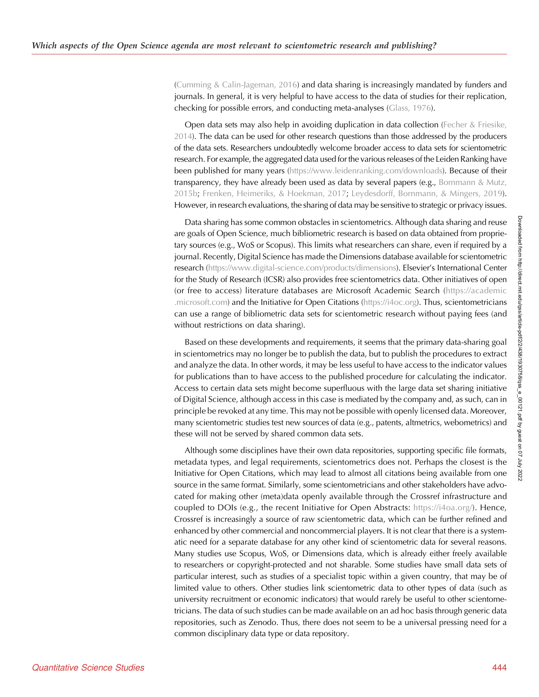(Cumming  $& Calin-Jageman, 2016$ ) and data sharing is increasingly mandated by funders and journals. In general, it is very helpful to have access to the data of studies for their replication, checking for possible errors, and conducting meta-analyses ([Glass, 1976\)](#page-14-0).

Open data sets may also help in avoiding duplication in data collection ([Fecher & Friesike,](#page-14-0) [2014](#page-14-0)). The data can be used for other research questions than those addressed by the producers of the data sets. Researchers undoubtedly welcome broader access to data sets for scientometric research. For example, the aggregated data used for the various releases of the Leiden Ranking have been published for many years [\(https://www.leidenranking.com/downloads\)](https://www.leidenranking.com/downloads). Because of their transparency, they have already been used as data by several papers (e.g., [Bornmann & Mutz,](#page-13-0) [2015b;](#page-13-0) [Frenken, Heimeriks, & Hoekman, 2017;](#page-14-0) [Leydesdorff, Bornmann, & Mingers, 2019\)](#page-14-0). However, in research evaluations, the sharing of data may be sensitive to strategic or privacy issues.

Data sharing has some common obstacles in scientometrics. Although data sharing and reuse are goals of Open Science, much bibliometric research is based on data obtained from proprietary sources (e.g., WoS or Scopus). This limits what researchers can share, even if required by a journal. Recently, Digital Science has made the Dimensions database available for scientometric research (<https://www.digital-science.com/products/dimensions>). Elsevier's International Center for the Study of Research (ICSR) also provides free scientometrics data. Other initiatives of open (or free to access) literature databases are Microsoft Academic Search ([https://academic](https://academic.microsoft.com) [.microsoft.com](https://academic.microsoft.com)) and the Initiative for Open Citations [\(https://i4oc.org](https://i4oc.org)). Thus, scientometricians can use a range of bibliometric data sets for scientometric research without paying fees (and without restrictions on data sharing).

Based on these developments and requirements, it seems that the primary data-sharing goal in scientometrics may no longer be to publish the data, but to publish the procedures to extract and analyze the data. In other words, it may be less useful to have access to the indicator values for publications than to have access to the published procedure for calculating the indicator. Access to certain data sets might become superfluous with the large data set sharing initiative of Digital Science, although access in this case is mediated by the company and, as such, can in principle be revoked at any time. This may not be possible with openly licensed data. Moreover, many scientometric studies test new sources of data (e.g., patents, altmetrics, webometrics) and these will not be served by shared common data sets.

Although some disciplines have their own data repositories, supporting specific file formats, metadata types, and legal requirements, scientometrics does not. Perhaps the closest is the Initiative for Open Citations, which may lead to almost all citations being available from one source in the same format. Similarly, some scientometricians and other stakeholders have advocated for making other (meta)data openly available through the Crossref infrastructure and coupled to DOIs (e.g., the recent Initiative for Open Abstracts: [https://i4oa.org/\)](https://i4oa.org/). Hence, Crossref is increasingly a source of raw scientometric data, which can be further refined and enhanced by other commercial and noncommercial players. It is not clear that there is a systematic need for a separate database for any other kind of scientometric data for several reasons. Many studies use Scopus, WoS, or Dimensions data, which is already either freely available to researchers or copyright-protected and not sharable. Some studies have small data sets of particular interest, such as studies of a specialist topic within a given country, that may be of limited value to others. Other studies link scientometric data to other types of data (such as university recruitment or economic indicators) that would rarely be useful to other scientometricians. The data of such studies can be made available on an ad hoc basis through generic data repositories, such as Zenodo. Thus, there does not seem to be a universal pressing need for a common disciplinary data type or data repository.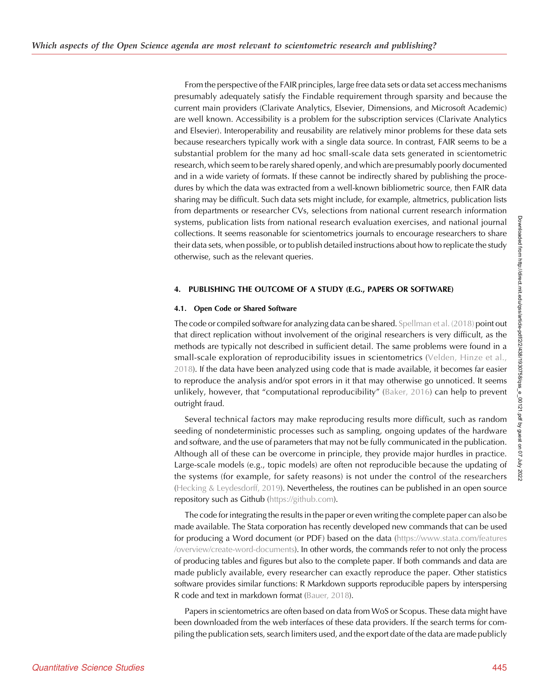From the perspective of the FAIR principles, large free data sets or data set access mechanisms presumably adequately satisfy the Findable requirement through sparsity and because the current main providers (Clarivate Analytics, Elsevier, Dimensions, and Microsoft Academic) are well known. Accessibility is a problem for the subscription services (Clarivate Analytics and Elsevier). Interoperability and reusability are relatively minor problems for these data sets because researchers typically work with a single data source. In contrast, FAIR seems to be a substantial problem for the many ad hoc small-scale data sets generated in scientometric research, which seem to be rarely shared openly, and which are presumably poorly documented and in a wide variety of formats. If these cannot be indirectly shared by publishing the procedures by which the data was extracted from a well-known bibliometric source, then FAIR data sharing may be difficult. Such data sets might include, for example, altmetrics, publication lists from departments or researcher CVs, selections from national current research information systems, publication lists from national research evaluation exercises, and national journal collections. It seems reasonable for scientometrics journals to encourage researchers to share their data sets, when possible, or to publish detailed instructions about how to replicate the study otherwise, such as the relevant queries.

# 4. PUBLISHING THE OUTCOME OF A STUDY (E.G., PAPERS OR SOFTWARE)

# 4.1. Open Code or Shared Software

The code or compiled software for analyzing data can be shared. [Spellman et al. \(2018\)](#page-15-0) point out that direct replication without involvement of the original researchers is very difficult, as the methods are typically not described in sufficient detail. The same problems were found in a small-scale exploration of reproducibility issues in scientometrics ([Velden, Hinze et al.,](#page-15-0) [2018\)](#page-15-0). If the data have been analyzed using code that is made available, it becomes far easier to reproduce the analysis and/or spot errors in it that may otherwise go unnoticed. It seems unlikely, however, that "computational reproducibility" [\(Baker, 2016](#page-13-0)) can help to prevent outright fraud.

Several technical factors may make reproducing results more difficult, such as random seeding of nondeterministic processes such as sampling, ongoing updates of the hardware and software, and the use of parameters that may not be fully communicated in the publication. Although all of these can be overcome in principle, they provide major hurdles in practice. Large-scale models (e.g., topic models) are often not reproducible because the updating of the systems (for example, for safety reasons) is not under the control of the researchers ([Hecking & Leydesdorff, 2019\)](#page-14-0). Nevertheless, the routines can be published in an open source repository such as Github [\(https://github.com\)](https://github.com).

The code for integrating the results in the paper or even writing the complete paper can also be made available. The Stata corporation has recently developed new commands that can be used for producing a Word document (or PDF) based on the data ([https://www.stata.com/features](https://www.stata.com/features/overview/create-word-documents) [/overview/create-word-documents\)](https://www.stata.com/features/overview/create-word-documents). In other words, the commands refer to not only the process of producing tables and figures but also to the complete paper. If both commands and data are made publicly available, every researcher can exactly reproduce the paper. Other statistics software provides similar functions: R Markdown supports reproducible papers by interspersing R code and text in markdown format [\(Bauer, 2018\)](#page-13-0).

Papers in scientometrics are often based on data from WoS or Scopus. These data might have been downloaded from the web interfaces of these data providers. If the search terms for compiling the publication sets, search limiters used, and the export date of the data are made publicly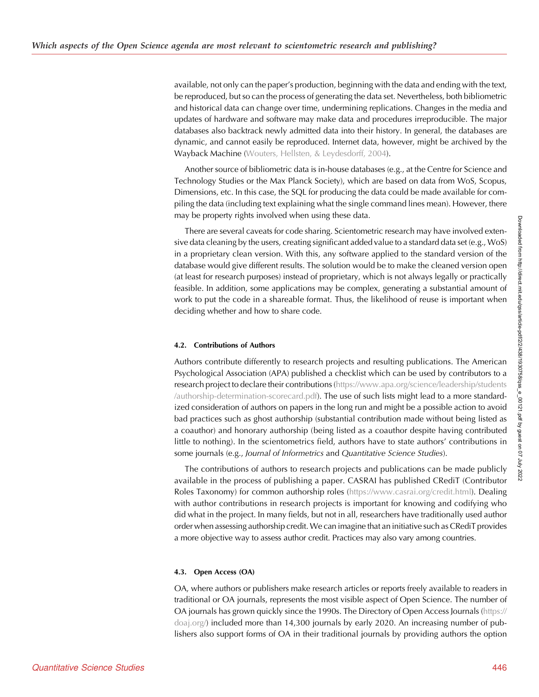available, not only can the paper's production, beginning with the data and ending with the text, be reproduced, but so can the process of generating the data set. Nevertheless, both bibliometric and historical data can change over time, undermining replications. Changes in the media and updates of hardware and software may make data and procedures irreproducible. The major databases also backtrack newly admitted data into their history. In general, the databases are dynamic, and cannot easily be reproduced. Internet data, however, might be archived by the Wayback Machine ([Wouters, Hellsten, & Leydesdorff, 2004](#page-15-0)).

Another source of bibliometric data is in-house databases (e.g., at the Centre for Science and Technology Studies or the Max Planck Society), which are based on data from WoS, Scopus, Dimensions, etc. In this case, the SQL for producing the data could be made available for compiling the data (including text explaining what the single command lines mean). However, there may be property rights involved when using these data.

There are several caveats for code sharing. Scientometric research may have involved extensive data cleaning by the users, creating significant added value to a standard data set (e.g., WoS) in a proprietary clean version. With this, any software applied to the standard version of the database would give different results. The solution would be to make the cleaned version open (at least for research purposes) instead of proprietary, which is not always legally or practically feasible. In addition, some applications may be complex, generating a substantial amount of work to put the code in a shareable format. Thus, the likelihood of reuse is important when deciding whether and how to share code.

## 4.2. Contributions of Authors

Authors contribute differently to research projects and resulting publications. The American Psychological Association (APA) published a checklist which can be used by contributors to a research project to declare their contributions ([https://www.apa.org/science/leadership/students](https://www.apa.org/science/leadership/students/authorship-determination-scorecard.pdf) [/authorship-determination-scorecard.pdf](https://www.apa.org/science/leadership/students/authorship-determination-scorecard.pdf)). The use of such lists might lead to a more standardized consideration of authors on papers in the long run and might be a possible action to avoid bad practices such as ghost authorship (substantial contribution made without being listed as a coauthor) and honorary authorship (being listed as a coauthor despite having contributed little to nothing). In the scientometrics field, authors have to state authors' contributions in some journals (e.g., Journal of Informetrics and Quantitative Science Studies).

The contributions of authors to research projects and publications can be made publicly available in the process of publishing a paper. CASRAI has published CRediT (Contributor Roles Taxonomy) for common authorship roles ([https://www.casrai.org/credit.html\)](https://www.casrai.org/credit.html). Dealing with author contributions in research projects is important for knowing and codifying who did what in the project. In many fields, but not in all, researchers have traditionally used author order when assessing authorship credit. We can imagine that an initiative such as CRediT provides a more objective way to assess author credit. Practices may also vary among countries.

## 4.3. Open Access (OA)

OA, where authors or publishers make research articles or reports freely available to readers in traditional or OA journals, represents the most visible aspect of Open Science. The number of OA journals has grown quickly since the 1990s. The Directory of Open Access Journals [\(https://](https://doaj.org/) [doaj.org/](https://doaj.org/)) included more than 14,300 journals by early 2020. An increasing number of publishers also support forms of OA in their traditional journals by providing authors the option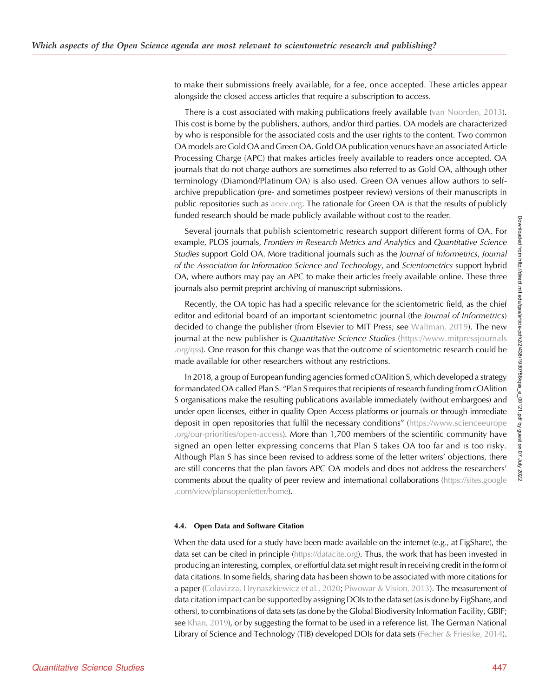to make their submissions freely available, for a fee, once accepted. These articles appear alongside the closed access articles that require a subscription to access.

There is a cost associated with making publications freely available ([van Noorden, 2013\)](#page-15-0). This cost is borne by the publishers, authors, and/or third parties. OA models are characterized by who is responsible for the associated costs and the user rights to the content. Two common OA models are Gold OA and Green OA. Gold OA publication venues have an associated Article Processing Charge (APC) that makes articles freely available to readers once accepted. OA journals that do not charge authors are sometimes also referred to as Gold OA, although other terminology (Diamond/Platinum OA) is also used. Green OA venues allow authors to selfarchive prepublication (pre- and sometimes postpeer review) versions of their manuscripts in public repositories such as [arxiv.org](http://arxiv.org). The rationale for Green OA is that the results of publicly funded research should be made publicly available without cost to the reader.

Several journals that publish scientometric research support different forms of OA. For example, PLOS journals, Frontiers in Research Metrics and Analytics and Quantitative Science Studies support Gold OA. More traditional journals such as the Journal of Informetrics, Journal of the Association for Information Science and Technology, and Scientometrics support hybrid OA, where authors may pay an APC to make their articles freely available online. These three journals also permit preprint archiving of manuscript submissions.

Recently, the OA topic has had a specific relevance for the scientometric field, as the chief editor and editorial board of an important scientometric journal (the *Journal of Informetrics*) decided to change the publisher (from Elsevier to MIT Press; see [Waltman, 2019\)](#page-15-0). The new journal at the new publisher is Quantitative Science Studies ([https://www.mitpressjournals](https://www.mitpressjournals.org/qss) [.org/qss\)](https://www.mitpressjournals.org/qss). One reason for this change was that the outcome of scientometric research could be made available for other researchers without any restrictions.

In 2018, a group of European funding agencies formed cOAlition S, which developed a strategy for mandated OA called Plan S. "Plan S requires that recipients of research funding from cOAlition S organisations make the resulting publications available immediately (without embargoes) and under open licenses, either in quality Open Access platforms or journals or through immediate deposit in open repositories that fulfil the necessary conditions" ([https://www.scienceeurope](https://www.scienceeurope.org/our-priorities/open-access) [.org/our-priorities/open-access](https://www.scienceeurope.org/our-priorities/open-access)). More than 1,700 members of the scientific community have signed an open letter expressing concerns that Plan S takes OA too far and is too risky. Although Plan S has since been revised to address some of the letter writers' objections, there are still concerns that the plan favors APC OA models and does not address the researchers' comments about the quality of peer review and international collaborations [\(https://sites.google](https://sites.google.com/view/plansopenletter/home) [.com/view/plansopenletter/home\)](https://sites.google.com/view/plansopenletter/home).

## 4.4. Open Data and Software Citation

When the data used for a study have been made available on the internet (e.g., at FigShare), the data set can be cited in principle [\(https://datacite.org\)](https://datacite.org). Thus, the work that has been invested in producing an interesting, complex, or effortful data set might result in receiving credit in the form of data citations. In some fields, sharing data has been shown to be associated with more citations for a paper [\(Colavizza, Hrynaszkiewicz et al., 2020;](#page-14-0) [Piwowar & Vision, 2013](#page-14-0)). The measurement of data citation impact can be supported by assigning DOIs to the data set (as is done by FigShare, and others), to combinations of data sets (as done by the Global Biodiversity Information Facility, GBIF; see [Khan, 2019](#page-14-0)), or by suggesting the format to be used in a reference list. The German National Library of Science and Technology (TIB) developed DOIs for data sets [\(Fecher & Friesike, 2014\)](#page-14-0).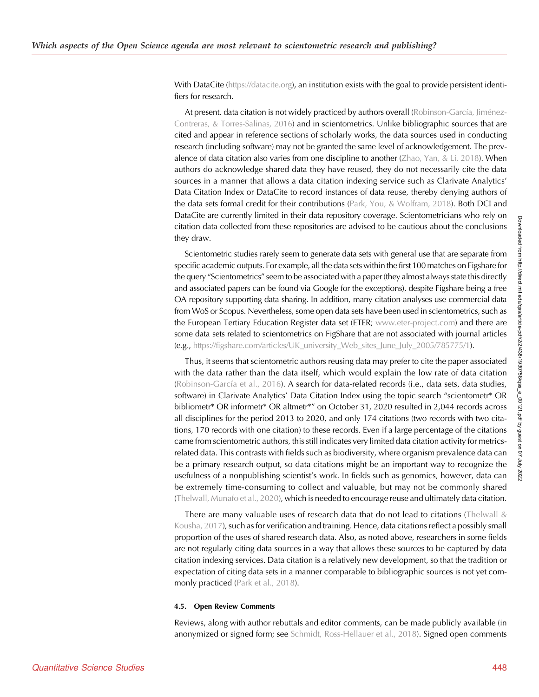With DataCite [\(https://datacite.org\)](https://datacite.org), an institution exists with the goal to provide persistent identifiers for research.

At present, data citation is not widely practiced by authors overall ([Robinson-García, Jiménez-](#page-14-0)[Contreras, & Torres-Salinas, 2016](#page-14-0)) and in scientometrics. Unlike bibliographic sources that are cited and appear in reference sections of scholarly works, the data sources used in conducting research (including software) may not be granted the same level of acknowledgement. The prevalence of data citation also varies from one discipline to another [\(Zhao, Yan, & Li, 2018](#page-15-0)). When authors do acknowledge shared data they have reused, they do not necessarily cite the data sources in a manner that allows a data citation indexing service such as Clarivate Analytics' Data Citation Index or DataCite to record instances of data reuse, thereby denying authors of the data sets formal credit for their contributions [\(Park, You, & Wolfram, 2018\)](#page-14-0). Both DCI and DataCite are currently limited in their data repository coverage. Scientometricians who rely on citation data collected from these repositories are advised to be cautious about the conclusions they draw.

Scientometric studies rarely seem to generate data sets with general use that are separate from specific academic outputs. For example, all the data sets within the first 100 matches on Figshare for the query "Scientometrics" seem to be associated with a paper (they almost always state this directly and associated papers can be found via Google for the exceptions), despite Figshare being a free OA repository supporting data sharing. In addition, many citation analyses use commercial data from WoS or Scopus. Nevertheless, some open data sets have been used in scientometrics, such as the European Tertiary Education Register data set (ETER; [www.eter-project.com\)](http://www.eter-project.com) and there are some data sets related to scientometrics on FigShare that are not associated with journal articles (e.g., [https://figshare.com/articles/UK\\_university\\_Web\\_sites\\_June\\_July\\_2005/785775/1](https://figshare.com/articles/UK_university_Web_sites_June_July_2005/785775/1)).

Thus, it seems that scientometric authors reusing data may prefer to cite the paper associated with the data rather than the data itself, which would explain the low rate of data citation ([Robinson-García et al., 2016](#page-14-0)). A search for data-related records (i.e., data sets, data studies, software) in Clarivate Analytics' Data Citation Index using the topic search "scientometr\* OR bibliometr\* OR informetr\* OR altmetr\*" on October 31, 2020 resulted in 2,044 records across all disciplines for the period 2013 to 2020, and only 174 citations (two records with two citations, 170 records with one citation) to these records. Even if a large percentage of the citations came from scientometric authors, this still indicates very limited data citation activity for metricsrelated data. This contrasts with fields such as biodiversity, where organism prevalence data can be a primary research output, so data citations might be an important way to recognize the usefulness of a nonpublishing scientist's work. In fields such as genomics, however, data can be extremely time-consuming to collect and valuable, but may not be commonly shared ([Thelwall, Munafo et al., 2020\)](#page-15-0), which is needed to encourage reuse and ultimately data citation.

There are many valuable uses of research data that do not lead to citations ([Thelwall &](#page-15-0) [Kousha, 2017\)](#page-15-0), such as for verification and training. Hence, data citations reflect a possibly small proportion of the uses of shared research data. Also, as noted above, researchers in some fields are not regularly citing data sources in a way that allows these sources to be captured by data citation indexing services. Data citation is a relatively new development, so that the tradition or expectation of citing data sets in a manner comparable to bibliographic sources is not yet com-monly practiced ([Park et al., 2018\)](#page-14-0).

## 4.5. Open Review Comments

Reviews, along with author rebuttals and editor comments, can be made publicly available (in anonymized or signed form; see [Schmidt, Ross-Hellauer et al., 2018](#page-15-0)). Signed open comments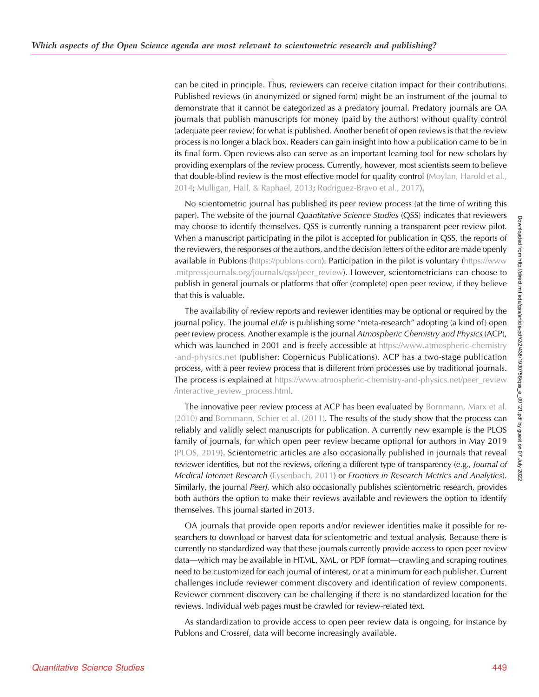can be cited in principle. Thus, reviewers can receive citation impact for their contributions. Published reviews (in anonymized or signed form) might be an instrument of the journal to demonstrate that it cannot be categorized as a predatory journal. Predatory journals are OA journals that publish manuscripts for money (paid by the authors) without quality control (adequate peer review) for what is published. Another benefit of open reviews is that the review process is no longer a black box. Readers can gain insight into how a publication came to be in its final form. Open reviews also can serve as an important learning tool for new scholars by providing exemplars of the review process. Currently, however, most scientists seem to believe that double-blind review is the most effective model for quality control [\(Moylan, Harold et al.,](#page-14-0) [2014;](#page-14-0) [Mulligan, Hall, & Raphael, 2013;](#page-14-0) [Rodriguez-Bravo et al., 2017](#page-14-0)).

No scientometric journal has published its peer review process (at the time of writing this paper). The website of the journal *Quantitative Science Studies* (OSS) indicates that reviewers may choose to identify themselves. QSS is currently running a transparent peer review pilot. When a manuscript participating in the pilot is accepted for publication in QSS, the reports of the reviewers, the responses of the authors, and the decision letters of the editor are made openly available in Publons ([https://publons.com\)](https://publons.com). Participation in the pilot is voluntary [\(https://www](https://www.mitpressjournals.org/journals/qss/peer_review) [.mitpressjournals.org/journals/qss/peer\\_review\)](https://www.mitpressjournals.org/journals/qss/peer_review). However, scientometricians can choose to publish in general journals or platforms that offer (complete) open peer review, if they believe that this is valuable.

The availability of review reports and reviewer identities may be optional or required by the journal policy. The journal eLife is publishing some "meta-research" adopting (a kind of) open peer review process. Another example is the journal Atmospheric Chemistry and Physics (ACP), which was launched in 2001 and is freely accessible at [https://www.atmospheric-chemistry](https://www.atmospheric-chemistry-and-physics.net) [-and-physics.net](https://www.atmospheric-chemistry-and-physics.net) (publisher: Copernicus Publications). ACP has a two-stage publication process, with a peer review process that is different from processes use by traditional journals. The process is explained at [https://www.atmospheric-chemistry-and-physics.net/peer\\_review](https://www.atmospheric-chemistry-and-physics.net/peer_review/interactive_review_process.html) [/interactive\\_review\\_process.html](https://www.atmospheric-chemistry-and-physics.net/peer_review/interactive_review_process.html).

The innovative peer review process at ACP has been evaluated by [Bornmann, Marx et al.](#page-13-0) [\(2010\)](#page-13-0) and [Bornmann, Schier et al. \(2011\)](#page-13-0). The results of the study show that the process can reliably and validly select manuscripts for publication. A currently new example is the PLOS family of journals, for which open peer review became optional for authors in May 2019 ([PLOS, 2019\)](#page-14-0). Scientometric articles are also occasionally published in journals that reveal reviewer identities, but not the reviews, offering a different type of transparency (e.g., Journal of Medical Internet Research ([Eysenbach, 2011\)](#page-14-0) or Frontiers in Research Metrics and Analytics). Similarly, the journal PeerJ, which also occasionally publishes scientometric research, provides both authors the option to make their reviews available and reviewers the option to identify themselves. This journal started in 2013.

OA journals that provide open reports and/or reviewer identities make it possible for researchers to download or harvest data for scientometric and textual analysis. Because there is currently no standardized way that these journals currently provide access to open peer review data—which may be available in HTML, XML, or PDF format—crawling and scraping routines need to be customized for each journal of interest, or at a minimum for each publisher. Current challenges include reviewer comment discovery and identification of review components. Reviewer comment discovery can be challenging if there is no standardized location for the reviews. Individual web pages must be crawled for review-related text.

As standardization to provide access to open peer review data is ongoing, for instance by Publons and Crossref, data will become increasingly available.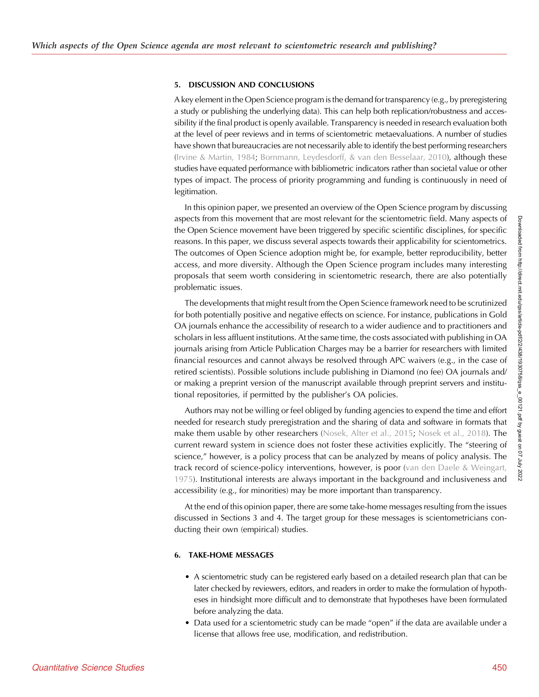## 5. DISCUSSION AND CONCLUSIONS

A key element in the Open Science program is the demand for transparency (e.g., by preregistering a study or publishing the underlying data). This can help both replication/robustness and accessibility if the final product is openly available. Transparency is needed in research evaluation both at the level of peer reviews and in terms of scientometric metaevaluations. A number of studies have shown that bureaucracies are not necessarily able to identify the best performing researchers ([Irvine & Martin, 1984](#page-14-0); [Bornmann, Leydesdorff, & van den Besselaar, 2010\)](#page-13-0), although these studies have equated performance with bibliometric indicators rather than societal value or other types of impact. The process of priority programming and funding is continuously in need of legitimation.

In this opinion paper, we presented an overview of the Open Science program by discussing aspects from this movement that are most relevant for the scientometric field. Many aspects of the Open Science movement have been triggered by specific scientific disciplines, for specific reasons. In this paper, we discuss several aspects towards their applicability for scientometrics. The outcomes of Open Science adoption might be, for example, better reproducibility, better access, and more diversity. Although the Open Science program includes many interesting proposals that seem worth considering in scientometric research, there are also potentially problematic issues.

The developments that might result from the Open Science framework need to be scrutinized for both potentially positive and negative effects on science. For instance, publications in Gold OA journals enhance the accessibility of research to a wider audience and to practitioners and scholars in less affluent institutions. At the same time, the costs associated with publishing in OA journals arising from Article Publication Charges may be a barrier for researchers with limited financial resources and cannot always be resolved through APC waivers (e.g., in the case of retired scientists). Possible solutions include publishing in Diamond (no fee) OA journals and/ or making a preprint version of the manuscript available through preprint servers and institutional repositories, if permitted by the publisher's OA policies.

Authors may not be willing or feel obliged by funding agencies to expend the time and effort needed for research study preregistration and the sharing of data and software in formats that make them usable by other researchers ([Nosek, Alter et al., 2015;](#page-14-0) [Nosek et al., 2018](#page-14-0)). The current reward system in science does not foster these activities explicitly. The "steering of science," however, is a policy process that can be analyzed by means of policy analysis. The track record of science-policy interventions, however, is poor ([van den Daele & Weingart,](#page-15-0) [1975](#page-15-0)). Institutional interests are always important in the background and inclusiveness and accessibility (e.g., for minorities) may be more important than transparency.

At the end of this opinion paper, there are some take-home messages resulting from the issues discussed in Sections 3 and 4. The target group for these messages is scientometricians conducting their own (empirical) studies.

## 6. TAKE-HOME MESSAGES

- A scientometric study can be registered early based on a detailed research plan that can be later checked by reviewers, editors, and readers in order to make the formulation of hypotheses in hindsight more difficult and to demonstrate that hypotheses have been formulated before analyzing the data.
- Data used for a scientometric study can be made "open" if the data are available under a license that allows free use, modification, and redistribution.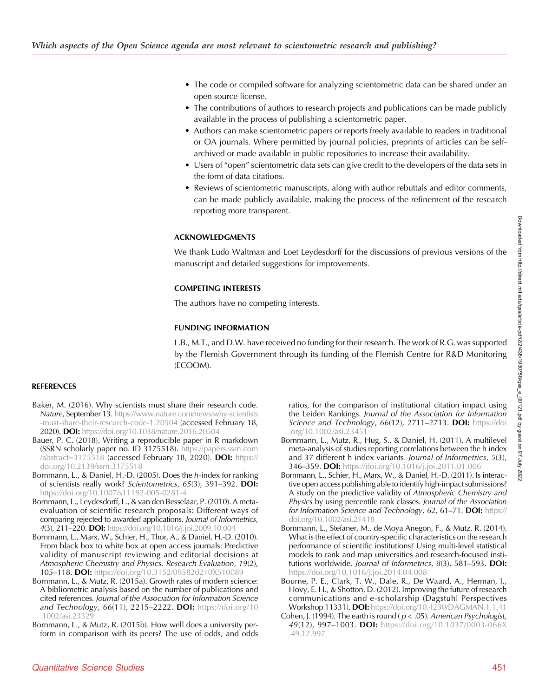- <span id="page-13-0"></span>• The code or compiled software for analyzing scientometric data can be shared under an open source license.
- The contributions of authors to research projects and publications can be made publicly available in the process of publishing a scientometric paper.
- Authors can make scientometric papers or reports freely available to readers in traditional or OA journals. Where permitted by journal policies, preprints of articles can be selfarchived or made available in public repositories to increase their availability.
- Users of "open" scientometric data sets can give credit to the developers of the data sets in the form of data citations.
- Reviews of scientometric manuscripts, along with author rebuttals and editor comments, can be made publicly available, making the process of the refinement of the research reporting more transparent.

# ACKNOWLEDGMENTS

We thank Ludo Waltman and Loet Leydesdorff for the discussions of previous versions of the manuscript and detailed suggestions for improvements.

# COMPETING INTERESTS

The authors have no competing interests.

## FUNDING INFORMATION

L.B., M.T., and D.W. have received no funding for their research. The work of R.G. was supported by the Flemish Government through its funding of the Flemish Centre for R&D Monitoring (ECOOM).

## REFERENCES

- Baker, M. (2016). Why scientists must share their research code. Nature, September 13. [https://www.nature.com/news/why-scientists](https://www.nature.com/news/why-scientists-must-share-their-research-code-1.20504) [-must-share-their-research-code-1.20504](https://www.nature.com/news/why-scientists-must-share-their-research-code-1.20504) (accessed February 18, 2020). DOI: <https://doi.org/10.1038/nature.2016.20504>
- Bauer, P. C. (2018). Writing a reproducible paper in R markdown (SSRN scholarly paper no. ID 3175518). [https://papers.ssrn.com](https://papers.ssrn.com/abstract=3175518) [/abstract=3175518](https://papers.ssrn.com/abstract=3175518) (accessed February 18, 2020). DOI: [https://](https://doi.org/10.2139/ssrn.3175518) [doi.org/10.2139/ssrn.3175518](https://doi.org/10.2139/ssrn.3175518)
- Bornmann, L., & Daniel, H.-D. (2005). Does the h-index for ranking of scientists really work? Scientometrics, 65(3), 391–392. DOI: <https://doi.org/10.1007/s11192-005-0281-4>
- Bornmann, L., Leydesdorff, L., & van den Besselaar, P. (2010). A metaevaluation of scientific research proposals: Different ways of comparing rejected to awarded applications. Journal of Informetrics, 4(3), 211–220. DOI: <https://doi.org/10.1016/j.joi.2009.10.004>
- Bornmann, L., Marx, W., Schier, H., Thor, A., & Daniel, H.-D. (2010). From black box to white box at open access journals: Predictive validity of manuscript reviewing and editorial decisions at Atmospheric Chemistry and Physics. Research Evaluation, 19(2), 105–118. DOI: <https://doi.org/10.3152/095820210X510089>
- Bornmann, L., & Mutz, R. (2015a). Growth rates of modern science: A bibliometric analysis based on the number of publications and cited references. Journal of the Association for Information Science and Technology, 66(11), 2215-2222. DOI: [https://doi.org/10](https://doi.org/10.1002/asi.23329) [.1002/asi.23329](https://doi.org/10.1002/asi.23329)
- Bornmann, L., & Mutz, R. (2015b). How well does a university perform in comparison with its peers? The use of odds, and odds

ratios, for the comparison of institutional citation impact using the Leiden Rankings. Journal of the Association for Information Science and Technology, 66(12), 2711-2713. DOI: [https://doi](https://doi.org/10.1002/asi.23451) [.org/10.1002/asi.23451](https://doi.org/10.1002/asi.23451)

- Bornmann, L., Mutz, R., Hug, S., & Daniel, H. (2011). A multilevel meta-analysis of studies reporting correlations between the h index and 37 different h index variants. Journal of Informetrics, 5(3), 346–359. DOI: <https://doi.org/10.1016/j.joi.2011.01.006>
- Bornmann, L., Schier, H., Marx, W., & Daniel, H.-D. (2011). Is interactive open access publishing able to identify high-impact submissions? A study on the predictive validity of Atmospheric Chemistry and Physics by using percentile rank classes. Journal of the Association for Information Science and Technology, 62, 61–71. DOI: [https://](https://doi.org/10.1002/asi.21418) [doi.org/10.1002/asi.21418](https://doi.org/10.1002/asi.21418)
- Bornmann, L., Stefaner, M., de Moya Anegon, F., & Mutz, R. (2014). What is the effect of country-specific characteristics on the research performance of scientific institutions? Using multi-level statistical models to rank and map universities and research-focused institutions worldwide. Journal of Informetrics, 8(3), 581–593. DOI: <https://doi.org/10.1016/j.joi.2014.04.008>
- Bourne, P. E., Clark, T. W., Dale, R., De Waard, A., Herman, I., Hovy, E. H., & Shotton, D. (2012). Improving the future of research communications and e-scholarship (Dagstuhl Perspectives Workshop 11331). DOI: <https://doi.org/10.4230/DAGMAN.1.1.41>
- Cohen, J. (1994). The earth is round ( $p < .05$ ). American Psychologist, 49(12), 997–1003. DOI: [https://doi.org/10.1037/0003-066X](https://doi.org/10.1037/0003-066X.49.12.997) [.49.12.997](https://doi.org/10.1037/0003-066X.49.12.997)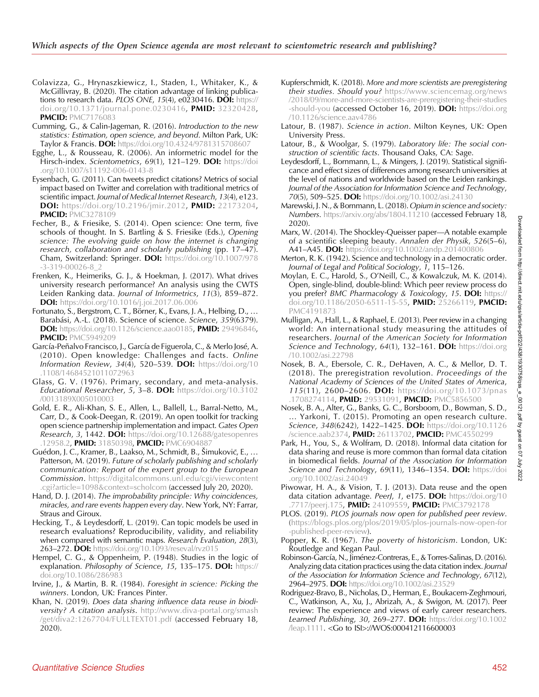- <span id="page-14-0"></span>Colavizza, G., Hrynaszkiewicz, I., Staden, I., Whitaker, K., & McGillivray, B. (2020). The citation advantage of linking publications to research data. PLOS ONE, 15(4),  $e0\overline{2}30416$ . DOI: [https://](https://doi.org/10.1371/journal.pone.0230416) [doi.org/10.1371/journal.pone.0230416](https://doi.org/10.1371/journal.pone.0230416), PMID: [32320428,](https://europepmc.org/article/MED/32320428) **PMCID: [PMC7176083](https://www.ncbi.nlm.nih.gov/pmc/articles/PMC7176083)**
- Cumming, G., & Calin-Jageman, R. (2016). Introduction to the new statistics: Estimation, open science, and beyond. Milton Park, UK: Taylor & Francis. DOI: <https://doi.org/10.4324/9781315708607>
- Egghe, L., & Rousseau, R. (2006). An informetric model for the Hirsch-index. Scientometrics, 69(1), 121–129. DOI: [https://doi](https://doi.org/10.1007/s11192-006-0143-8) [.org/10.1007/s11192-006-0143-8](https://doi.org/10.1007/s11192-006-0143-8)
- Eysenbach, G. (2011). Can tweets predict citations? Metrics of social impact based on Twitter and correlation with traditional metrics of scientific impact. Journal of Medical Internet Research, 13(4), e123. **DOI:** <https://doi.org/10.2196/jmir.2012>, **PMID:** [22173204,](https://europepmc.org/article/MED/22173204) **PMCID: [PMC3278109](https://www.ncbi.nlm.nih.gov/pmc/articles/PMC3278109)**
- Fecher, B., & Friesike, S. (2014). Open science: One term, five schools of thought. In S. Bartling & S. Friesike (Eds.), Opening science: The evolving guide on how the internet is changing research, collaboration and scholarly publishing (pp. 17–47). Cham, Switzerland: Springer. DOI: [https://doi.org/10.1007/978](https://doi.org/10.1007/978-3-319-00026-8_2) [-3-319-00026-8\\_2](https://doi.org/10.1007/978-3-319-00026-8_2)
- Frenken, K., Heimeriks, G. J., & Hoekman, J. (2017). What drives university research performance? An analysis using the CWTS Leiden Ranking data. Journal of Informetrics, 11(3), 859–872. DOI: <https://doi.org/10.1016/j.joi.2017.06.006>
- Fortunato, S., Bergstrom, C. T., Börner, K., Evans, J. A., Helbing, D., … Barabási, A.-L. (2018). Science of science. Science, 359(6379). DOI: <https://doi.org/10.1126/science.aao0185>, PMID: [29496846,](https://europepmc.org/article/MED/29496846) **PMCID: [PMC5949209](https://www.ncbi.nlm.nih.gov/pmc/articles/PMC5949209)**
- García-Peñalvo Francisco, J., García de Figuerola, C., & Merlo José, A. (2010). Open knowledge: Challenges and facts. Online Information Review,  $34(4)$ , 520-539. DOI: [https://doi.org/10](https://doi.org/10.1108/14684521011072963) [.1108/14684521011072963](https://doi.org/10.1108/14684521011072963)
- Glass, G. V. (1976). Primary, secondary, and meta-analysis. Educational Researcher, 5, 3–8. DOI: [https://doi.org/10.3102](https://doi.org/10.3102/0013189X005010003) [/0013189X005010003](https://doi.org/10.3102/0013189X005010003)
- Gold, E. R., Ali-Khan, S. E., Allen, L., Ballell, L., Barral-Netto, M., Carr, D., & Cook-Deegan, R. (2019). An open toolkit for tracking open science partnership implementation and impact. Gates Open Research, 3, 1442. DOI: [https://doi.org/10.12688/gatesopenres](https://doi.org/10.12688/gatesopenres.12958.2) [.12958.2,](https://doi.org/10.12688/gatesopenres.12958.2) PMID: [31850398,](https://europepmc.org/article/MED/31850398) PMCID: [PMC6904887](https://www.ncbi.nlm.nih.gov/pmc/articles/PMC6904887)
- Guédon, J. C., Kramer, B., Laakso, M., Schmidt, B., Simukovič, E., ... Patterson, M. (2019). Future of scholarly publishing and scholarly communication: Report of the expert group to the European Commission. [https://digitalcommons.unl.edu/cgi/viewcontent](https://digitalcommons.unl.edu/cgi/viewcontent.cgi?article=1098&context=scholcom) [.cgi?article=1098&context=scholcom](https://digitalcommons.unl.edu/cgi/viewcontent.cgi?article=1098&context=scholcom) (accessed July 20, 2020).
- Hand, D. J. (2014). The improbability principle: Why coincidences, miracles, and rare events happen every day. New York, NY: Farrar, Straus and Giroux.
- Hecking, T., & Leydesdorff, L. (2019). Can topic models be used in research evaluations? Reproducibility, validity, and reliability when compared with semantic maps. Research Evaluation, 28(3), 263–272. DOI: <https://doi.org/10.1093/reseval/rvz015>
- Hempel, C. G., & Oppenheim, P. (1948). Studies in the logic of explanation. Philosophy of Science, 15, 135-175. DOI: [https://](https://doi.org/10.1086/286983) doi.org/10.1086/28698
- Irvine, J., & Martin, B. R. (1984). Foresight in science: Picking the winners. London, UK: Frances Pinter.
- Khan, N. (2019). Does data sharing influence data reuse in biodiversity? A citation analysis. [http://www.diva-portal.org/smash](http://www.diva-portal.org/smash/get/diva2:1267704/FULLTEXT01.pdf) [/get/diva2:1267704/FULLTEXT01.pdf](http://www.diva-portal.org/smash/get/diva2:1267704/FULLTEXT01.pdf) (accessed February 18, 2020).
- Kupferschmidt, K. (2018). More and more scientists are preregistering their studies. Should you? [https://www.sciencemag.org/news](https://www.sciencemag.org/news/2018/09/more-and-more-scientists-are-preregistering-their-studies-should-you) [/2018/09/more-and-more-scientists-are-preregistering-their-studies](https://www.sciencemag.org/news/2018/09/more-and-more-scientists-are-preregistering-their-studies-should-you) [-should-you](https://www.sciencemag.org/news/2018/09/more-and-more-scientists-are-preregistering-their-studies-should-you) (accessed October 16, 2019). DOI: [https://doi.org](https://doi.org/10.1126/science.aav4786) [/10.1126/science.aav4786](https://doi.org/10.1126/science.aav4786)
- Latour, B. (1987). Science in action. Milton Keynes, UK: Open University Press.
- Latour, B., & Woolgar, S. (1979). Laboratory life: The social construction of scientific facts. Thousand Oaks, CA: Sage.
- Leydesdorff, L., Bornmann, L., & Mingers, J. (2019). Statistical significance and effect sizes of differences among research universities at the level of nations and worldwide based on the Leiden rankings. Journal of the Association for Information Science and Technology, 70(5), 509-525. DOI: <https://doi.org/10.1002/asi.24130>
- Marewski, J. N., & Bornmann, L. (2018). Opium in science and society: Numbers. <https://arxiv.org/abs/1804.11210> (accessed February 18, 2020).
- Marx, W. (2014). The Shockley-Queisser paper—A notable example of a scientific sleeping beauty. Annalen der Physik, 526(5–6), A41–A45. DOI: <https://doi.org/10.1002/andp.201400806>
- Merton, R. K. (1942). Science and technology in a democratic order. Journal of Legal and Political Sociology, 1, 115–126.
- Moylan, E. C., Harold, S., O'Neill, C., & Kowalczuk, M. K. (2014). Open, single-blind, double-blind: Which peer review process do you prefer? BMC Pharmacology & Toxicology, 15. DOI: [https://](https://doi.org/10.1186/2050-6511-15-55) [doi.org/10.1186/2050-6511-15-55](https://doi.org/10.1186/2050-6511-15-55), PMID: [25266119,](https://europepmc.org/article/MED/25266119) PMCID: [PMC4191873](https://www.ncbi.nlm.nih.gov/pmc/articles/PMC4191873)
- Mulligan, A., Hall, L., & Raphael, E. (2013). Peer review in a changing world: An international study measuring the attitudes of researchers. Journal of the American Society for Information Science and Technology, 64(1), 132-161. DOI: [https://doi.org](https://doi.org/10.1002/asi.22798) [/10.1002/asi.22798](https://doi.org/10.1002/asi.22798)
- Nosek, B. A., Ebersole, C. R., DeHaven, A. C., & Mellor, D. T. (2018). The preregistration revolution. Proceedings of the National Academy of Sciences of the United States of America, 115(11), 2600-2606. DOI: [https://doi.org/10.1073/pnas](https://doi.org/10.1073/pnas.1708274114) [.1708274114](https://doi.org/10.1073/pnas.1708274114), PMID: [29531091,](https://europepmc.org/article/MED/29531091) PMCID: [PMC5856500](https://www.ncbi.nlm.nih.gov/pmc/articles/PMC5856500)
- Nosek, B. A., Alter, G., Banks, G. C., Borsboom, D., Bowman, S. D., … Yarkoni, T. (2015). Promoting an open research culture. Science, 348(6242), 1422-1425. DOI: [https://doi.org/10.1126](https://doi.org/10.1126/science.aab2374) [/science.aab2374,](https://doi.org/10.1126/science.aab2374) PMID: [26113702](https://europepmc.org/article/MED/26113702), PMCID: [PMC4550299](https://www.ncbi.nlm.nih.gov/pmc/articles/PMC4550299)
- Park, H., You, S., & Wolfram, D. (2018). Informal data citation for data sharing and reuse is more common than formal data citation in biomedical fields. Journal of the Association for Information Science and Technology, 69(11), 1346-1354. DOI: [https://doi](https://doi.org/10.1002/asi.24049) [.org/10.1002/asi.24049](https://doi.org/10.1002/asi.24049)
- Piwowar, H. A., & Vision, T. J. (2013). Data reuse and the open data citation advantage. PeerJ, 1, e175. **DOI:** [https://doi.org/10](https://doi.org/10.7717/peerj.175) [.7717/peerj.175,](https://doi.org/10.7717/peerj.175) PMID: [24109559](https://europepmc.org/article/MED/24109559), PMCID: [PMC3792178](https://www.ncbi.nlm.nih.gov/pmc/articles/PMC3792178)
- PLOS. (2019). PLOS journals now open for published peer review. ([https://blogs.plos.org/plos/2019/05/plos-journals-now-open-for](https://blogs.plos.org/plos/2019/05/plos-journals-now-open-for-published-peer-review) [-published-peer-review](https://blogs.plos.org/plos/2019/05/plos-journals-now-open-for-published-peer-review)).
- Popper, K. R. (1967). The poverty of historicism. London, UK: Routledge and Kegan Paul.
- Robinson-García, N., Jiménez-Contreras, E., & Torres-Salinas, D. (2016). Analyzing data citation practices using the data citation index. Journal of the Association for Information Science and Technology, 67(12), 2964-2975. DOI: <https://doi.org/10.1002/asi.23529>
- Rodriguez-Bravo, B., Nicholas, D., Herman, E., Boukacem-Zeghmouri, C., Watkinson, A., Xu, J., Abrizah, A., & Swigon, M. (2017). Peer review: The experience and views of early career researchers. **Learned Publishing, 30, 269–277. DOI:** [https://doi.org/10.1002](https://doi.org/10.1002/leap.1111) [/leap.1111.](https://doi.org/10.1002/leap.1111) <Go to ISI>://WOS:000412116600003

Downloaded from http://direct.mit.edu/qss/article-pdf/2/2/438/1930758/qss\_e\_00121.pdf by guest on 07 Downloaded from http://direct.mit.edu/qss/article-pdf/2/2/438/1930758/qss\_e\_00121.pdf by guest on 07 July 2022

2022